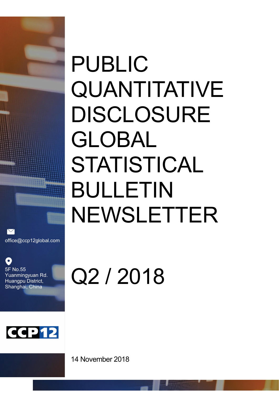# PUBLIC QUANTITATIVE DISCLOSURE GLOBAL STATISTICAL BULLETIN NEWSLETTER

office@ccp12global.com

O 5F No.55 Yuanmingyuan Rd. Huangpu District, Shanghai, China



Q2 / 2018

14 November 2018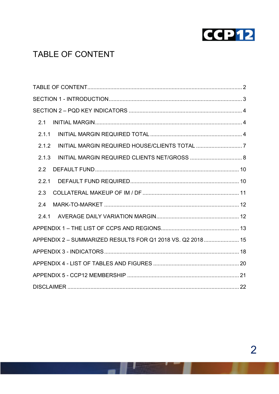

# TABLE OF CONTENT

| 2.1                                                        |  |
|------------------------------------------------------------|--|
| 2.1.1                                                      |  |
| 2.1.2                                                      |  |
| 2.1.3                                                      |  |
| $2.2^{\circ}$                                              |  |
| 2.2.1                                                      |  |
| 2.3                                                        |  |
| 2.4                                                        |  |
| 2.4.1                                                      |  |
|                                                            |  |
| APPENDIX 2 - SUMMARIZED RESULTS FOR Q1 2018 VS. Q2 2018 15 |  |
|                                                            |  |
|                                                            |  |
|                                                            |  |
|                                                            |  |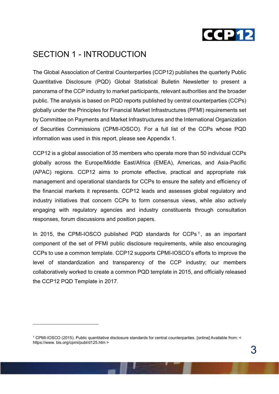

## SECTION 1 - INTRODUCTION

The Global Association of Central Counterparties (CCP12) publishes the quarterly Public Quantitative Disclosure (PQD) Global Statistical Bulletin Newsletter to present a panorama of the CCP industry to market participants, relevant authorities and the broader public. The analysis is based on PQD reports published by central counterparties (CCPs) globally under the Principles for Financial Market Infrastructures (PFMI) requirements set by Committee on Payments and Market Infrastructures and the International Organization of Securities Commissions (CPMI-IOSCO). For a full list of the CCPs whose PQD information was used in this report, please see Appendix 1.

CCP12 is a global association of 35 members who operate more than 50 individual CCPs globally across the Europe/Middle East/Africa (EMEA), Americas, and Asia-Pacific (APAC) regions. CCP12 aims to promote effective, practical and appropriate risk management and operational standards for CCPs to ensure the safety and efficiency of the financial markets it represents. CCP12 leads and assesses global regulatory and industry initiatives that concern CCPs to form consensus views, while also actively engaging with regulatory agencies and industry constituents through consultation responses, forum discussions and position papers.

In 2015, the CPMI-IOSCO published PQD standards for  $CCPs<sup>1</sup>$ , as an important component of the set of PFMI public disclosure requirements, while also encouraging CCPs to use a common template. CCP12 supports CPMI-IOSCO's efforts to improve the level of standardization and transparency of the CCP industry; our members collaboratively worked to create a common PQD template in 2015, and officially released the CCP12 PQD Template in 2017.

l

<sup>1</sup> CPMI-IOSCO (2015). Public quantitative disclosure standards for central counterparties. [online] Available from: < https://www. bis.org/cpmi/publ/d125.htm >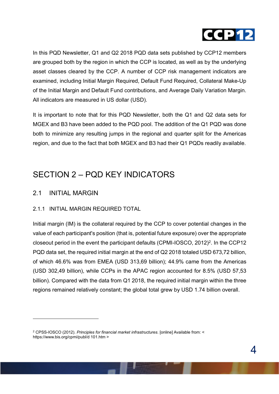

In this PQD Newsletter, Q1 and Q2 2018 PQD data sets published by CCP12 members are grouped both by the region in which the CCP is located, as well as by the underlying asset classes cleared by the CCP. A number of CCP risk management indicators are examined, including Initial Margin Required, Default Fund Required, Collateral Make-Up of the Initial Margin and Default Fund contributions, and Average Daily Variation Margin. All indicators are measured in US dollar (USD).

It is important to note that for this PQD Newsletter, both the Q1 and Q2 data sets for MGEX and B3 have been added to the PQD pool. The addition of the Q1 PQD was done both to minimize any resulting jumps in the regional and quarter split for the Americas region, and due to the fact that both MGEX and B3 had their Q1 PQDs readily available.

# SECTION 2 – PQD KEY INDICATORS

#### 2.1 INITIAL MARGIN

l

#### 2.1.1 INITIAL MARGIN REQUIRED TOTAL

Initial margin (IM) is the collateral required by the CCP to cover potential changes in the value of each participant's position (that is, potential future exposure) over the appropriate closeout period in the event the participant defaults (CPMI-IOSCO, 2012)2. In the CCP12 PQD data set, the required initial margin at the end of Q2 2018 totaled USD 673,72 billion, of which 46.6% was from EMEA (USD 313,69 billion); 44.9% came from the Americas (USD 302,49 billion), while CCPs in the APAC region accounted for 8.5% (USD 57,53 billion). Compared with the data from Q1 2018, the required initial margin within the three regions remained relatively constant; the global total grew by USD 1.74 billion overall.

<sup>2</sup> CPSS-IOSCO (2012). *Principles for financial market infrastructures*. [online] Available from: < https://www.bis.org/cpmi/publ/d 101.htm >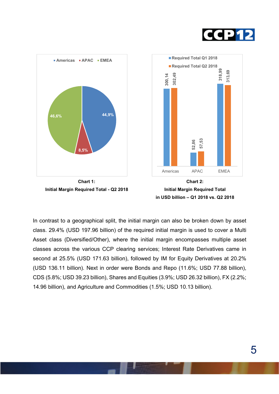









In contrast to a geographical split, the initial margin can also be broken down by asset class. 29.4% (USD 197.96 billion) of the required initial margin is used to cover a Multi Asset class (Diversified/Other), where the initial margin encompasses multiple asset classes across the various CCP clearing services; Interest Rate Derivatives came in second at 25.5% (USD 171.63 billion), followed by IM for Equity Derivatives at 20.2% (USD 136.11 billion). Next in order were Bonds and Repo (11.6%; USD 77.88 billion), CDS (5.8%; USD 39.23 billion), Shares and Equities (3.9%; USD 26.32 billion), FX (2.2%; 14.96 billion), and Agriculture and Commodities (1.5%; USD 10.13 billion).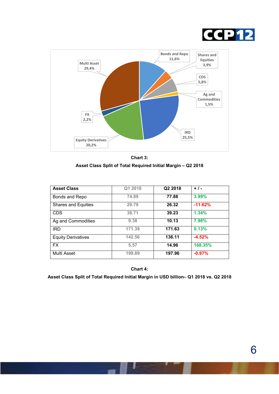



Chart 3: Asset Class Split of Total Required Initial Margin – Q2 2018

| <b>Asset Class</b>        | Q1 2018 | Q2 2018 | $+1-$     |
|---------------------------|---------|---------|-----------|
| Bonds and Repo            | 74.89   | 77.88   | 3.99%     |
| Shares and Equities       | 29.79   | 26.32   | $-11.62%$ |
| <b>CDS</b>                | 38.71   | 39.23   | 1.34%     |
| Ag and Commodities        | 9.38    | 10.13   | 7.98%     |
| <b>IRD</b>                | 171.39  | 171.63  | 0.13%     |
| <b>Equity Derivatives</b> | 142.56  | 136.11  | $-4.52%$  |
| <b>FX</b>                 | 5.57    | 14.96   | 168.35%   |
| Multi Asset               | 199.89  | 197.96  | $-0.97%$  |

Chart 4:

Asset Class Split of Total Required Initial Margin in USD billion– Q1 2018 vs. Q2 2018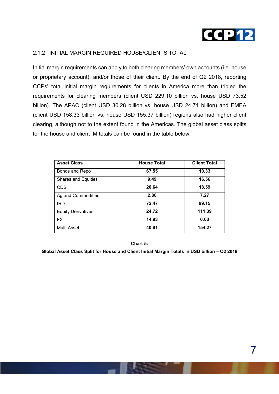

#### 2.1.2 INITIAL MARGIN REQUIRED HOUSE/CLIENTS TOTAL

Initial margin requirements can apply to both clearing members' own accounts (i.e. house or proprietary account), and/or those of their client. By the end of Q2 2018, reporting CCPs' total initial margin requirements for clients in America more than tripled the requirements for clearing members (client USD 229.10 billion vs. house USD 73.52 billion). The APAC (client USD 30.28 billion vs. house USD 24.71 billion) and EMEA (client USD 158.33 billion vs. house USD 155.37 billion) regions also had higher client clearing, although not to the extent found in the Americas. The global asset class splits for the house and client IM totals can be found in the table below:

| <b>Asset Class</b>        | <b>House Total</b> | <b>Client Total</b> |
|---------------------------|--------------------|---------------------|
| Bonds and Repo            | 67.55              | 10.33               |
| Shares and Equities       | 9.49               | 16.56               |
| <b>CDS</b>                | 20.64              | 18.59               |
| Ag and Commodities        | 2.86               | 7.27                |
| <b>IRD</b>                | 72.47              | 99.15               |
| <b>Equity Derivatives</b> | 24.72              | 111.39              |
| <b>FX</b>                 | 14.93              | 0.03                |
| Multi Asset               | 40.91              | 154.27              |

Chart 5:

Global Asset Class Split for House and Client Initial Margin Totals in USD billion – Q2 2018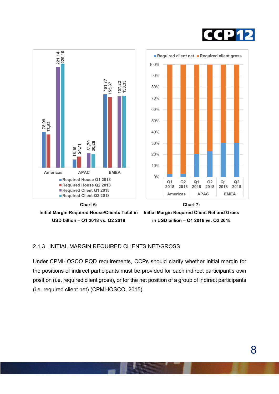





Initial Margin Required Client Net and Gross in USD billion – Q1 2018 vs. Q2 2018

#### 2.1.3 INITIAL MARGIN REQUIRED CLIENTS NET/GROSS

Under CPMI-IOSCO PQD requirements, CCPs should clarify whether initial margin for the positions of indirect participants must be provided for each indirect participant's own position (i.e. required client gross), or for the net position of a group of indirect participants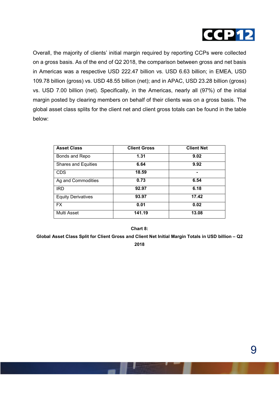

Overall, the majority of clients' initial margin required by reporting CCPs were collected on a gross basis. As of the end of Q2 2018, the comparison between gross and net basis in Americas was a respective USD 222.47 billion vs. USD 6.63 billion; in EMEA, USD 109.78 billion (gross) vs. USD 48.55 billion (net); and in APAC, USD 23.28 billion (gross) vs. USD 7.00 billion (net). Specifically, in the Americas, nearly all (97%) of the initial margin posted by clearing members on behalf of their clients was on a gross basis. The global asset class splits for the client net and client gross totals can be found in the table below:

| <b>Asset Class</b>         | <b>Client Gross</b> | <b>Client Net</b> |
|----------------------------|---------------------|-------------------|
| Bonds and Repo             | 1.31                | 9.02              |
| <b>Shares and Equities</b> | 6.64                | 9.92              |
| <b>CDS</b>                 | 18.59               |                   |
| Ag and Commodities         | 0.73                | 6.54              |
| <b>IRD</b>                 | 92.97               | 6.18              |
| <b>Equity Derivatives</b>  | 93.97               | 17.42             |
| <b>FX</b>                  | 0.01                | 0.02              |
| Multi Asset                | 141.19              | 13.08             |

Chart 8:

Global Asset Class Split for Client Gross and Client Net Initial Margin Totals in USD billion – Q2 2018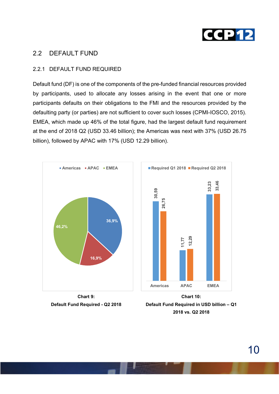

#### 2.2 DEFAULT FUND

#### 2.2.1 DEFAULT FUND REQUIRED

Default fund (DF) is one of the components of the pre-funded financial resources provided by participants, used to allocate any losses arising in the event that one or more participants defaults on their obligations to the FMI and the resources provided by the defaulting party (or parties) are not sufficient to cover such losses (CPMI-IOSCO, 2015). EMEA, which made up 46% of the total figure, had the largest default fund requirement at the end of 2018 Q2 (USD 33.46 billion); the Americas was next with 37% (USD 26.75 billion), followed by APAC with 17% (USD 12.29 billion).



Default Fund Required - Q2 2018

Default Fund Required in USD billion – Q1 2018 vs. Q2 2018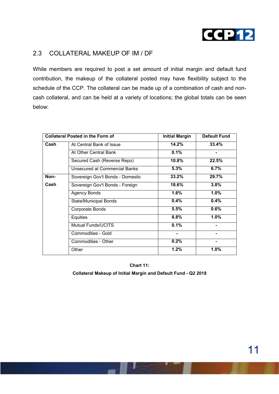

#### 2.3 COLLATERAL MAKEUP OF IM / DF

While members are required to post a set amount of initial margin and default fund contribution, the makeup of the collateral posted may have flexibility subject to the schedule of the CCP. The collateral can be made up of a combination of cash and noncash collateral, and can be held at a variety of locations; the global totals can be seen below:

|      | <b>Collateral Posted in the Form of</b> | <b>Initial Margin</b> | <b>Default Fund</b> |
|------|-----------------------------------------|-----------------------|---------------------|
| Cash | At Central Bank of Issue                | 14.2%                 | 33.4%               |
|      | At Other Central Bank                   | 0.1%                  |                     |
|      | Secured Cash (Reverse Repo)             | 10.8%                 | 22.5%               |
|      | <b>Unsecured at Commercial Banks</b>    | 5.3%                  | 6.7%                |
| Non- | Sovereign Gov't Bonds - Domestic        | 33.2%                 | 29.7%               |
| Cash | Sovereign Gov't Bonds - Foreign         | 18.6%                 | 3.8%                |
|      | <b>Agency Bonds</b>                     | 1.6%                  | 1.0%                |
|      | <b>State/Municipal Bonds</b>            | 0.4%                  | 0.4%                |
|      | Corporate Bonds                         | 5.5%                  | 0.6%                |
|      | Equities                                | 8.8%                  | 1.0%                |
|      | <b>Mutual Funds/UCITS</b>               | 0.1%                  |                     |
|      | Commodities - Gold                      | ۰                     |                     |
|      | Commodities - Other                     | 0.2%                  |                     |
|      | Other                                   | 1.2%                  | 1.0%                |

Chart 11: Collateral Makeup of Initial Margin and Default Fund - Q2 2018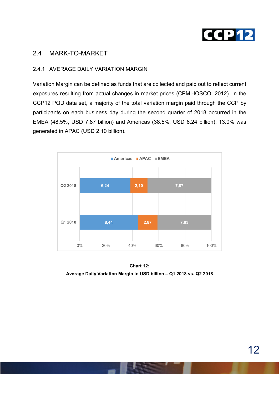

#### 2.4 MARK-TO-MARKET

#### 2.4.1 AVERAGE DAILY VARIATION MARGIN

Variation Margin can be defined as funds that are collected and paid out to reflect current exposures resulting from actual changes in market prices (CPMI-IOSCO, 2012). In the CCP12 PQD data set, a majority of the total variation margin paid through the CCP by participants on each business day during the second quarter of 2018 occurred in the EMEA (48.5%, USD 7.87 billion) and Americas (38.5%, USD 6.24 billion); 13.0% was generated in APAC (USD 2.10 billion).



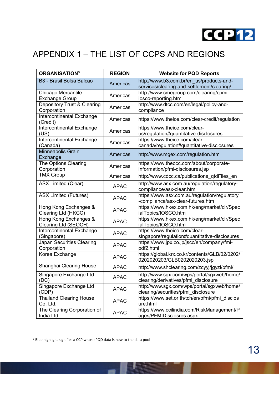

# APPENDIX 1 – THE LIST OF CCPS AND REGIONS

| <b>ORGANISATION3</b>                          | <b>REGION</b> | <b>Website for PQD Reports</b>                                                         |
|-----------------------------------------------|---------------|----------------------------------------------------------------------------------------|
| B <sub>3</sub> - Brasil Bolsa Balcao          | Americas      | http://www.b3.com.br/en_us/products-and-<br>services/clearing-and-settlement/clearing/ |
| Chicago Mercantile<br><b>Exchange Group</b>   | Americas      | http://www.cmegroup.com/clearing/cpmi-<br>iosco-reporting.html                         |
| Depository Trust & Clearing<br>Corporation    | Americas      | http://www.dtcc.com/en/legal/policy-and-<br>compliance                                 |
| Intercontinental Exchange<br>(Credit)         | Americas      | https://www.theice.com/clear-credit/regulation                                         |
| Intercontinental Exchange<br>(US)             | Americas      | https://www.theice.com/clear-<br>us/regulation#quantitative-disclosures                |
| <b>Intercontinental Exchange</b><br>(Canada)  | Americas      | https://www.theice.com/clear-<br>canada/regulation#quantitative-disclosures            |
| Minneapolis Grain<br>Exchange                 | Americas      | http://www.mgex.com/regulation.html                                                    |
| The Options Clearing<br>Corporation           | Americas      | https://www.theocc.com/about/corporate-<br>information/pfmi-disclosures.jsp            |
| <b>TMX Group</b>                              | Americas      | http://www.cdcc.ca/publications_qtdFiles_en                                            |
| <b>ASX Limited (Clear)</b>                    | <b>APAC</b>   | http://www.asx.com.au/regulation/regulatory-<br>compliance/asx-clear.htm               |
| <b>ASX Limited (Futures)</b>                  | <b>APAC</b>   | https://www.asx.com.au/regulation/regulatory<br>-compliance/asx-clear-futures.htm      |
| Hong Kong Exchanges &<br>Clearing Ltd (HKCC)  | <b>APAC</b>   | https://www.hkex.com.hk/eng/market/clr/Spec<br>ialTopics/IOSCO.htm                     |
| Hong Kong Exchanges &<br>Clearing Ltd (SEOCH) | <b>APAC</b>   | https://www.hkex.com.hk/eng/market/clr/Spec<br>ialTopics/IOSCO.htm                     |
| Intercontinental Exchange<br>(Singapore)      | <b>APAC</b>   | https://www.theice.com/clear-<br>singapore/regulation#quantitative-disclosures         |
| Japan Securities Clearing<br>Corporation      | <b>APAC</b>   | https://www.jpx.co.jp/jscc/en/company/fmi-<br>pdf2.html                                |
| Korea Exchange                                | <b>APAC</b>   | https://global.krx.co.kr/contents/GLB/02/0202/<br>0202020203/GLB0202020203.jsp         |
| Shanghai Clearing House                       | <b>APAC</b>   | http://www.shclearing.com/zcyyj/jgyzl/pfmi/                                            |
| Singapore Exchange Ltd<br>(UC)                | <b>APAC</b>   | http://www.sgx.com/wps/portal/sgxweb/home/<br>clearing/derivatives/pfmi_disclosure     |
| Singapore Exchange Ltd<br>(CDP)               | <b>APAC</b>   | http://www.sgx.com/wps/portal/sgxweb/home/<br>clearing/securities/pfmi_disclosure      |
| <b>Thailand Clearing House</b><br>Co. Ltd.    | <b>APAC</b>   | https://www.set.or.th/tch/en/pfmi/pfmi_disclos<br>ure.html                             |
| The Clearing Corporation of<br>India Ltd      | <b>APAC</b>   | https://www.ccilindia.com/RiskManagement/P<br>ages/PFMIDisclosres.aspx                 |

<sup>3</sup> Blue highlight signifies a CCP whose PQD data is new to the data pool

l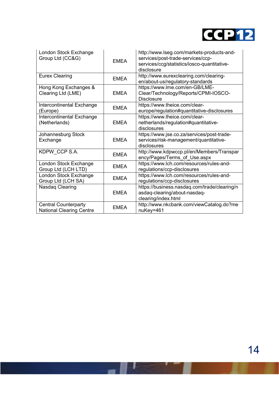

| London Stock Exchange<br>Group Ltd (CC&G)                      | <b>EMEA</b> | http://www.lseg.com/markets-products-and-<br>services/post-trade-services/ccp-<br>services/ccg/statistics/iosco-quantitative-<br>disclosure |
|----------------------------------------------------------------|-------------|---------------------------------------------------------------------------------------------------------------------------------------------|
| <b>Eurex Clearing</b>                                          | <b>EMEA</b> | http://www.eurexclearing.com/clearing-<br>en/about-us/regulatory-standards                                                                  |
| Hong Kong Exchanges &<br>Clearing Ltd (LME)                    | <b>EMEA</b> | https://www.lme.com/en-GB/LME-<br>Clear/Technology/Reports/CPMI-IOSCO-<br><b>Disclosure</b>                                                 |
| Intercontinental Exchange<br>(Europe)                          | <b>EMEA</b> | https://www.theice.com/clear-<br>europe/regulation#quantitative-disclosures                                                                 |
| Intercontinental Exchange<br>(Netherlands)                     | <b>EMEA</b> | https://www.theice.com/clear-<br>netherlands/regulation#quantitative-<br>disclosures                                                        |
| Johannesburg Stock<br>Exchange                                 | <b>EMEA</b> | https://www.jse.co.za/services/post-trade-<br>services/risk-management/quantitative-<br>disclosures                                         |
| KDPW CCP S.A.                                                  | <b>EMEA</b> | http://www.kdpwccp.pl/en/Members/Transpar<br>ency/Pages/Terms_of_Use.aspx                                                                   |
| London Stock Exchange<br>Group Ltd (LCH LTD)                   | <b>EMEA</b> | https://www.lch.com/resources/rules-and-<br>regulations/ccp-disclosures                                                                     |
| London Stock Exchange<br>Group Ltd (LCH SA)                    | <b>EMEA</b> | https://www.lch.com/resources/rules-and-<br>regulations/ccp-disclosures                                                                     |
| Nasdag Clearing                                                | <b>EMEA</b> | https://business.nasdaq.com/trade/clearing/n<br>asdaq-clearing/about-nasdaq-<br>clearing/index.html                                         |
| <b>Central Counterparty</b><br><b>National Clearing Centre</b> | <b>EMEA</b> | http://www.nkcbank.com/viewCatalog.do?me<br>nuKey=461                                                                                       |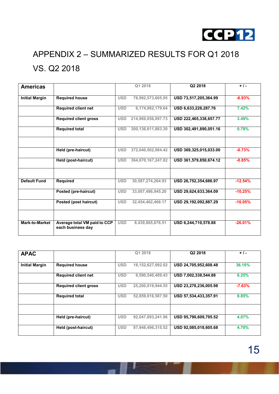

# APPENDIX 2 – SUMMARIZED RESULTS FOR Q1 2018 VS. Q2 2018

| <b>Americas</b>       |                                                   |            | Q1 2018                | Q2 2018                | $+$ / -   |
|-----------------------|---------------------------------------------------|------------|------------------------|------------------------|-----------|
| <b>Initial Margin</b> | <b>Required house</b>                             | <b>USD</b> | 78,992,573,605.95      | USD 73,517,205,364.99  | $-6.93%$  |
|                       | <b>Required client net</b>                        | <b>USD</b> | 6,174,982,179.64       | USD 6,633,228,287.76   | 7.42%     |
|                       | <b>Required client gross</b>                      | <b>USD</b> | 214,969,056,097.73     | USD 222,465,338,657.77 | 3.49%     |
|                       | <b>Required total</b>                             | <b>USD</b> | 300, 136, 611, 883. 30 | USD 302,491,890,051.16 | 0.78%     |
|                       |                                                   |            |                        |                        |           |
|                       | Held (pre-haircut)                                | <b>USD</b> | 372,040,502,984.42     | USD 369,325,015,033.00 | $-0.73%$  |
|                       | Held (post-haircut)                               | <b>USD</b> | 364,670,167,247.82     | USD 361,579,850,674.12 | $-0.85%$  |
| <b>Default Fund</b>   | <b>Required</b>                                   | <b>USD</b> | 30.587.274.264.93      | USD 26,752,354,686.97  | $-12.54%$ |
|                       | Posted (pre-haircut)                              | <b>USD</b> | 33,007,486,945.20      | USD 29,624,633,364.09  | $-10.25%$ |
|                       | Posted (post haircut)                             | <b>USD</b> | 32,454,462,466.17      | USD 29,192,092,887.29  | $-10.05%$ |
|                       |                                                   |            |                        |                        |           |
| <b>Mark-to-Market</b> | Average total VM paid to CCP<br>each business day | <b>USD</b> | 8,439,865,676.51       | USD 6,244,710,578.88   | $-26.01%$ |

| <b>APAC</b>           |                              |            | Q1 2018              | Q2 2018               | $+$ / -  |
|-----------------------|------------------------------|------------|----------------------|-----------------------|----------|
| <b>Initial Margin</b> | <b>Required house</b>        | <b>USD</b> | 18, 152, 627, 092.02 | USD 24,705,952,608.48 | 36.10%   |
|                       | <b>Required client net</b>   | <b>USD</b> | 6,590,540,409.43     | USD 7,002,338,544.88  | 6.25%    |
|                       | <b>Required client gross</b> | <b>USD</b> | 25,200,019,944.55    | USD 23,278,236,005.98 | $-7.63%$ |
|                       | <b>Required total</b>        | <b>USD</b> | 52,859,016,587.50    | USD 57,534,433,357.91 | 8.85%    |
|                       |                              |            |                      |                       |          |
|                       | Held (pre-haircut)           | <b>USD</b> | 92,047,893,241.96    | USD 95,790,609,795.52 | 4.07%    |
|                       | Held (post-haircut)          | <b>USD</b> | 87,948,496,315.52    | USD 92,085,018,605.68 | 4.70%    |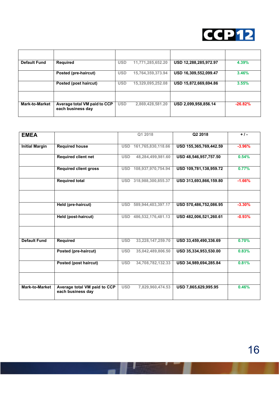

| <b>Default Fund</b>   | Required                                          | <b>USD</b> | 11,771,285,652.20 | USD 12,288,285,972.97 | 4.39%     |
|-----------------------|---------------------------------------------------|------------|-------------------|-----------------------|-----------|
|                       | Posted (pre-haircut)                              | <b>USD</b> | 15,764,359,373.94 | USD 16,309,552,099.47 | 3.46%     |
|                       | Posted (post haircut)                             | <b>USD</b> | 15,329,095,252.08 | USD 15,872,669,694.86 | 3.55%     |
|                       |                                                   |            |                   |                       |           |
| <b>Mark-to-Market</b> | Average total VM paid to CCP<br>each business day | <b>USD</b> | 2,869,428,581.20  | USD 2,099,958,856.14  | $-26.82%$ |

| <b>EMEA</b>           |                                                   |            | Q1 2018            | Q2 2018                | $+1-$    |
|-----------------------|---------------------------------------------------|------------|--------------------|------------------------|----------|
| <b>Initial Margin</b> | <b>Required house</b>                             | <b>USD</b> | 161,765,830,118.66 | USD 155,365,769,442.59 | $-3.96%$ |
|                       |                                                   |            |                    |                        |          |
|                       | <b>Required client net</b>                        | <b>USD</b> | 48,284,499,981.60  | USD 48,546,957,757.50  | 0.54%    |
|                       | <b>Required client gross</b>                      | <b>USD</b> | 108,937,970,754.94 | USD 109,781,138,959.72 | 0.77%    |
|                       | <b>Required total</b>                             | <b>USD</b> | 318,988,300,855.37 | USD 313,693,866,159.80 | $-1.66%$ |
|                       | Held (pre-haircut)                                | <b>USD</b> | 589,944,403,397.17 | USD 570,486,752,086.95 | $-3.30%$ |
|                       |                                                   |            |                    |                        |          |
|                       | Held (post-haircut)                               | <b>USD</b> | 486,532,176,481.13 | USD 482,006,521,260.61 | $-0.93%$ |
|                       |                                                   |            |                    |                        |          |
| <b>Default Fund</b>   | <b>Required</b>                                   | <b>USD</b> | 33,228,147,259.70  | USD 33,459,490,336.69  | 0.70%    |
|                       | Posted (pre-haircut)                              | <b>USD</b> | 35,042,489,806.50  | USD 35,334,953,530.00  | 0.83%    |
|                       | Posted (post haircut)                             | <b>USD</b> | 34,708,782,132.33  | USD 34,989,694,285.84  | 0.81%    |
|                       |                                                   |            |                    |                        |          |
| <b>Mark-to-Market</b> | Average total VM paid to CCP<br>each business day | <b>USD</b> | 7,829,960,474.53   | USD 7,865,629,995.95   | 0.46%    |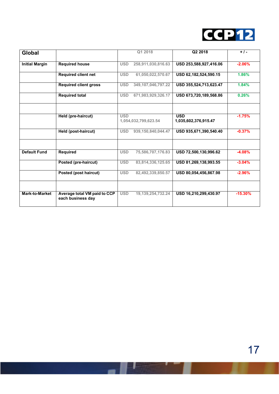

| Global                |                                                   | Q1 2018                            | Q2 2018                            | $+1$ .    |
|-----------------------|---------------------------------------------------|------------------------------------|------------------------------------|-----------|
| <b>Initial Margin</b> | <b>Required house</b>                             | 258,911,030,816.63<br><b>USD</b>   | USD 253,588,927,416.06             | $-2.06%$  |
|                       | <b>Required client net</b>                        | <b>USD</b><br>61,050,022,570.67    | USD 62,182,524,590.15              | 1.86%     |
|                       | <b>Required client gross</b>                      | <b>USD</b><br>349,107,046,797.22   | USD 355,524,713,623.47             | 1.84%     |
|                       | <b>Required total</b>                             | <b>USD</b><br>671,983,929,326.17   | USD 673,720,189,568.86             | 0.26%     |
|                       | Held (pre-haircut)                                | <b>USD</b><br>1,054,032,799,623.54 | <b>USD</b><br>1,035,602,376,915.47 | $-1.75%$  |
|                       | Held (post-haircut)                               | 939,150,840,044.47<br><b>USD</b>   | USD 935,671,390,540.40             | $-0.37%$  |
| <b>Default Fund</b>   | Required                                          | <b>USD</b><br>75,586,707,176.83    | USD 72,500,130,996.62              | $-4.08%$  |
|                       | Posted (pre-haircut)                              | <b>USD</b><br>83,814,336,125.65    | USD 81,269,138,993.55              | $-3.04%$  |
|                       | Posted (post haircut)                             | <b>USD</b><br>82,492,339,850.57    | USD 80,054,456,867.98              | $-2.96%$  |
|                       |                                                   |                                    |                                    |           |
| <b>Mark-to-Market</b> | Average total VM paid to CCP<br>each business day | <b>USD</b><br>19,139,254,732.24    | USD 16,210,299,430.97              | $-15.30%$ |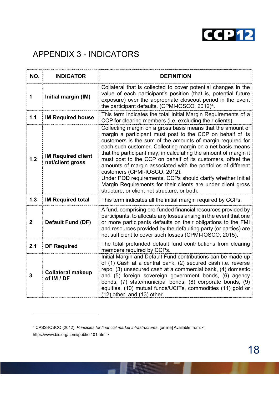

# APPENDIX 3 - INDICATORS

| NO.            | <b>INDICATOR</b>                              | <b>DEFINITION</b>                                                                                                                                                                                                                                                                                                                                                                                                                                                                                                                                                                                                                                                         |
|----------------|-----------------------------------------------|---------------------------------------------------------------------------------------------------------------------------------------------------------------------------------------------------------------------------------------------------------------------------------------------------------------------------------------------------------------------------------------------------------------------------------------------------------------------------------------------------------------------------------------------------------------------------------------------------------------------------------------------------------------------------|
| 1              | Initial margin (IM)                           | Collateral that is collected to cover potential changes in the<br>value of each participant's position (that is, potential future<br>exposure) over the appropriate closeout period in the event<br>the participant defaults. (CPMI-IOSCO, 2012) <sup>4</sup> .                                                                                                                                                                                                                                                                                                                                                                                                           |
| 1.1            | <b>IM Required house</b>                      | This term indicates the total Initial Margin Requirements of a<br>CCP for clearing members (i.e. excluding their clients).                                                                                                                                                                                                                                                                                                                                                                                                                                                                                                                                                |
| 1.2            | <b>IM Required client</b><br>net/client gross | Collecting margin on a gross basis means that the amount of<br>margin a participant must post to the CCP on behalf of its<br>customers is the sum of the amounts of margin required for<br>each such customer. Collecting margin on a net basis means<br>that the participant may, in calculating the amount of margin it<br>must post to the CCP on behalf of its customers, offset the<br>amounts of margin associated with the portfolios of different<br>customers (CPMI-IOSCO, 2012).<br>Under PQD requirements, CCPs should clarify whether Initial<br>Margin Requirements for their clients are under client gross<br>structure, or client net structure, or both. |
| 1.3            | <b>IM Required total</b>                      | This term indicates all the initial margin required by CCPs.                                                                                                                                                                                                                                                                                                                                                                                                                                                                                                                                                                                                              |
| $\overline{2}$ | <b>Default Fund (DF)</b>                      | A fund, comprising pre-funded financial resources provided by<br>participants, to allocate any losses arising in the event that one<br>or more participants defaults on their obligations to the FMI<br>and resources provided by the defaulting party (or parties) are<br>not sufficient to cover such losses (CPMI-IOSCO, 2015).                                                                                                                                                                                                                                                                                                                                        |
| 2.1            | <b>DF Required</b>                            | The total prefunded default fund contributions from clearing<br>members required by CCPs.                                                                                                                                                                                                                                                                                                                                                                                                                                                                                                                                                                                 |
| 3              | <b>Collateral makeup</b><br>of IM / DF        | Initial Margin and Default Fund contributions can be made up<br>of (1) Cash at a central bank, (2) secured cash i.e. reverse<br>repo, (3) unsecured cash at a commercial bank, (4) domestic<br>and (5) foreign sovereign government bonds, (6) agency<br>bonds, (7) state/municipal bonds, (8) corporate bonds, (9)<br>equities, (10) mutual funds/UCITs, commodities (11) gold or<br>$(12)$ other, and $(13)$ other.                                                                                                                                                                                                                                                     |

l

<sup>4</sup> CPSS-IOSCO (2012). *Principles for financial market infrastructures*. [online] Available from: < https://www.bis.org/cpmi/publ/d 101.htm >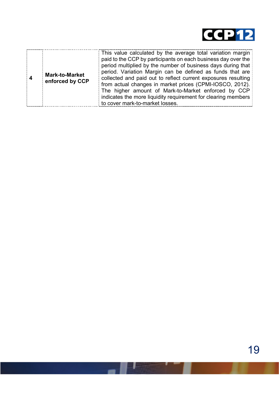

|  | <b>Mark-to-Market</b><br>enforced by CCP | This value calculated by the average total variation margin<br>paid to the CCP by participants on each business day over the<br>period multiplied by the number of business days during that<br>period. Variation Margin can be defined as funds that are<br>collected and paid out to reflect current exposures resulting<br>from actual changes in market prices (CPMI-IOSCO, 2012).<br>The higher amount of Mark-to-Market enforced by CCP<br>indicates the more liquidity requirement for clearing members<br>to cover mark-to-market losses. |
|--|------------------------------------------|---------------------------------------------------------------------------------------------------------------------------------------------------------------------------------------------------------------------------------------------------------------------------------------------------------------------------------------------------------------------------------------------------------------------------------------------------------------------------------------------------------------------------------------------------|
|--|------------------------------------------|---------------------------------------------------------------------------------------------------------------------------------------------------------------------------------------------------------------------------------------------------------------------------------------------------------------------------------------------------------------------------------------------------------------------------------------------------------------------------------------------------------------------------------------------------|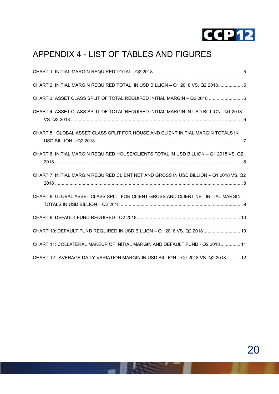

# APPENDIX 4 - LIST OF TABLES AND FIGURES

| CHART 2: INITIAL MARGIN REQUIRED TOTAL IN USD BILLION - Q1 2018 VS. Q2 20185          |
|---------------------------------------------------------------------------------------|
| CHART 3: ASSET CLASS SPLIT OF TOTAL REQUIRED INITIAL MARGIN - Q2 2018  6              |
| CHART 4: ASSET CLASS SPLIT OF TOTAL REQUIRED INITIAL MARGIN IN USD BILLION- Q1 2018   |
| CHART 5: GLOBAL ASSET CLASS SPLIT FOR HOUSE AND CLIENT INITIAL MARGIN TOTALS IN       |
| CHART 6: INITIAL MARGIN REQUIRED HOUSE/CLIENTS TOTAL IN USD BILLION - Q1 2018 VS. Q2  |
| CHART 7: INITIAL MARGIN REQUIRED CLIENT NET AND GROSS IN USD BILLION - Q1 2018 VS. Q2 |
| CHART 8: GLOBAL ASSET CLASS SPLIT FOR CLIENT GROSS AND CLIENT NET INITIAL MARGIN      |
|                                                                                       |
| CHART 10: DEFAULT FUND REQUIRED IN USD BILLION - Q1 2018 VS. Q2 2018  10              |
| CHART 11: COLLATERAL MAKEUP OF INITIAL MARGIN AND DEFAULT FUND - Q2 2018  11          |
| CHART 12: AVERAGE DAILY VARIATION MARGIN IN USD BILLION - Q1 2018 VS. Q2 2018 12      |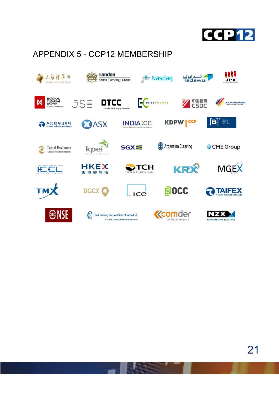

# APPENDIX 5 - CCP12 MEMBERSHIP